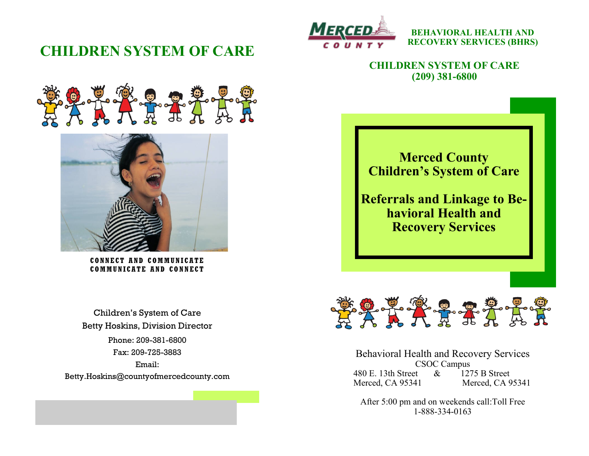# **CHILDREN SYSTEM OF CARE**



**BEHAVIORAL HEALTH AND RECOVERY SERVICES (BHRS)**

**CHILDREN SYSTEM OF CARE (209) 381-6800**





**CONNECT AND COMMUNIC ATE COMMUNICATE AND CONN ECT**

Phone: 209-381-6800 Fax: 209-725-3883 Email: Betty.Hoskins@countyofmercedcounty.com Children's System of Care Betty Hoskins, Division Director





Behavioral Health and Recovery Services CSOC Campus 480 E. 13th Street & 1275 B Street Merced, CA 95341 Merced, CA 95341

After 5:00 pm and on weekends call:Toll Free 1-888-334-0163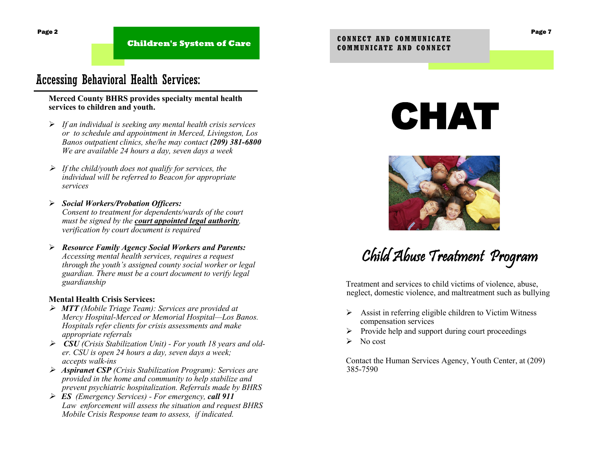**Children's System of Care** 

## Accessing Behavioral Health Services:

#### **Merced County BHRS provides specialty mental health services to children and youth.**

- ➢ *If an individual is seeking any mental health crisis services or to schedule and appointment in Merced, Livingston, Los Banos outpatient clinics, she/he may contact (209) 381-6800 We are available 24 hours a day, seven days a week*
- ➢ *If the child/youth does not qualify for services, the individual will be referred to Beacon for appropriate services*
- ➢ *Social Workers/Probation Officers: Consent to treatment for dependents/wards of the court must be signed by the court appointed legal authority, verification by court document is required*
- ➢ *Resource Family Agency Social Workers and Parents: Accessing mental health services, requires a request through the youth's assigned county social worker or legal guardian. There must be a court document to verify legal guardianship*

#### **Mental Health Crisis Services:**

- ➢ *MTT (Mobile Triage Team): Services are provided at Mercy Hospital-Merced or Memorial Hospital—Los Banos. Hospitals refer clients for crisis assessments and make appropriate referrals*
- ➢ *CSU (Crisis Stabilization Unit) - For youth 18 years and older. CSU is open 24 hours a day, seven days a week; accepts walk-ins*
- ➢ *Aspiranet CSP (Crisis Stabilization Program): Services are provided in the home and community to help stabilize and prevent psychiatric hospitalization. Referrals made by BHRS*
- ➢ *ES (Emergency Services) - For emergency, call 911 Law enforcement will assess the situation and request BHRS Mobile Crisis Response team to assess, if indicated.*

# CHAT



# Child Abuse Treatment Program

Treatment and services to child victims of violence, abuse, neglect, domestic violence, and maltreatment such as bullying

- $\triangleright$  Assist in referring eligible children to Victim Witness compensation services
- ➢ Provide help and support during court proceedings
- $\triangleright$  No cost

Contact the Human Services Agency, Youth Center, at (209) 385-7590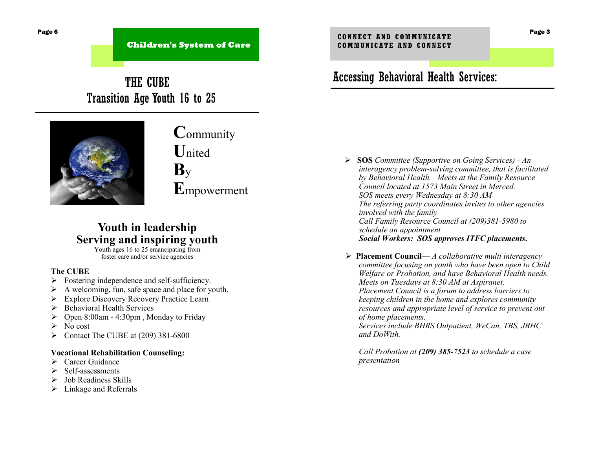**Children's System of Care** 

# THE CUBE Transition Age Youth 16 to 25



**C**ommunity **U**nited **B**y **E**mpowerment

### **Youth in leadership Serving and inspiring youth**

Youth ages 16 to 25 emancipating from foster care and/or service agencies

#### **The CUBE**

- $\triangleright$  Fostering independence and self-sufficiency.
- ➢ A welcoming, fun, safe space and place for youth.
- ➢ Explore Discovery Recovery Practice Learn
- ➢ Behavioral Health Services
- $\geq$  Open 8:00am 4:30pm, Monday to Friday
- $\triangleright$  No cost
- $\triangleright$  Contact The CUBE at (209) 381-6800

#### **Vocational Rehabilitation Counseling:**

- ➢ Career Guidance
- ➢ Self-assessments
- ➢ Job Readiness Skills
- $\triangleright$  Linkage and Referrals

# Accessing Behavioral Health Services:

- ➢ **SOS** *Committee (Supportive on Going Services) - An interagency problem-solving committee, that is facilitated by Behavioral Health. Meets at the Family Resource Council located at 1573 Main Street in Merced. SOS meets every Wednesday at 8:30 AM The referring party coordinates invites to other agencies involved with the family Call Family Resource Council at (209)381-5980 to schedule an appointment Social Workers: SOS approves ITFC placements***.**
- ➢ **Placement Council—** *A collaborative multi interagency committee focusing on youth who have been open to Child Welfare or Probation, and have Behavioral Health needs. Meets on Tuesdays at 8:30 AM at Aspiranet. Placement Council is a forum to address barriers to keeping children in the home and explores community resources and appropriate level of service to prevent out of home placements. Services include BHRS Outpatient, WeCan, TBS, JBHC* 
	- *and DoWith.*

*Call Probation at (209) 385-7523 to schedule a case presentation*